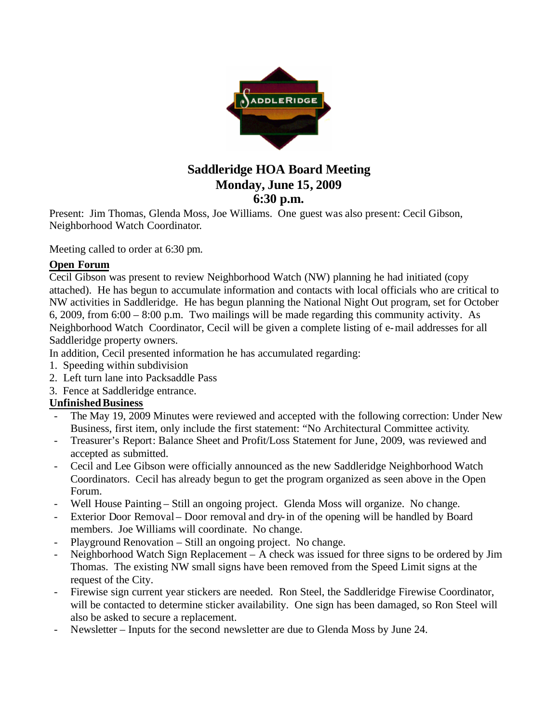

## **Saddleridge HOA Board Meeting Monday, June 15, 2009 6:30 p.m.**

Present: Jim Thomas, Glenda Moss, Joe Williams. One guest was also present: Cecil Gibson, Neighborhood Watch Coordinator.

Meeting called to order at 6:30 pm.

## **Open Forum**

Cecil Gibson was present to review Neighborhood Watch (NW) planning he had initiated (copy attached). He has begun to accumulate information and contacts with local officials who are critical to NW activities in Saddleridge. He has begun planning the National Night Out program, set for October 6, 2009, from 6:00 – 8:00 p.m. Two mailings will be made regarding this community activity. As Neighborhood Watch Coordinator, Cecil will be given a complete listing of e-mail addresses for all Saddleridge property owners.

In addition, Cecil presented information he has accumulated regarding:

- 1. Speeding within subdivision
- 2. Left turn lane into Packsaddle Pass
- 3. Fence at Saddleridge entrance.

## **Unfinished Business**

- The May 19, 2009 Minutes were reviewed and accepted with the following correction: Under New Business, first item, only include the first statement: "No Architectural Committee activity.
- Treasurer's Report: Balance Sheet and Profit/Loss Statement for June, 2009, was reviewed and accepted as submitted.
- Cecil and Lee Gibson were officially announced as the new Saddleridge Neighborhood Watch Coordinators. Cecil has already begun to get the program organized as seen above in the Open Forum.
- Well House Painting Still an ongoing project. Glenda Moss will organize. No change.
- Exterior Door Removal Door removal and dry-in of the opening will be handled by Board members. Joe Williams will coordinate. No change.
- Playground Renovation Still an ongoing project. No change.
- Neighborhood Watch Sign Replacement A check was issued for three signs to be ordered by Jim Thomas. The existing NW small signs have been removed from the Speed Limit signs at the request of the City.
- Firewise sign current year stickers are needed. Ron Steel, the Saddleridge Firewise Coordinator, will be contacted to determine sticker availability. One sign has been damaged, so Ron Steel will also be asked to secure a replacement.
- Newsletter Inputs for the second newsletter are due to Glenda Moss by June 24.